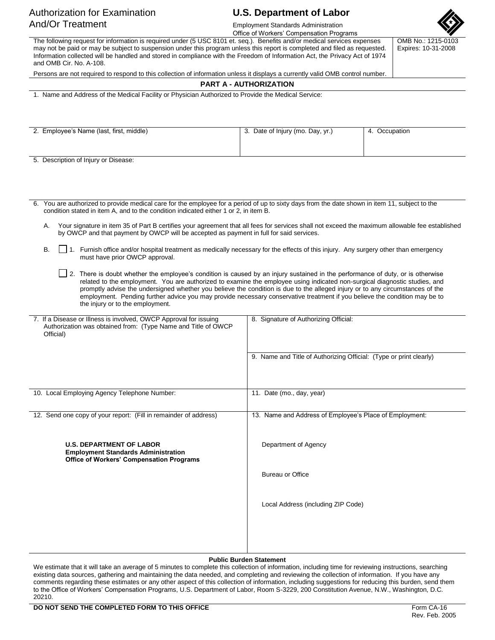# Authorization for Examination **U.S. Department of Labor** And/Or Treatment **Employment Standards Administration**

Office of Workers' Compensation Programs

The following request for information is required under (5 USC 8101 et. seq.). Benefits and/or medical services expenses may not be paid or may be subject to suspension under this program unless this report is completed and filed as requested. Information collected will be handled and stored in compliance with the Freedom of Information Act, the Privacy Act of 1974 and OMB Cir. No. A-108.

OMB No.: 1215-0103 Expires: 10-31-2008

Persons are not required to respond to this collection of information unless it displays a currently valid OMB control number.

### **PART A - AUTHORIZATION**

1. Name and Address of the Medical Facility or Physician Authorized to Provide the Medical Service:

| 2. Employee's Name (last, first, middle) | 3. Date of Injury (mo. Day, yr.) | 4. Occupation |
|------------------------------------------|----------------------------------|---------------|
|                                          |                                  |               |
|                                          |                                  |               |

5. Description of Injury or Disease:

6. You are authorized to provide medical care for the employee for a period of up to sixty days from the date shown in item 11, subject to the condition stated in item A, and to the condition indicated either 1 or 2, in item B.

- A. Your signature in item 35 of Part B certifies your agreement that all fees for services shall not exceed the maximum allowable fee established by OWCP and that payment by OWCP will be accepted as payment in full for said services.
- B. 1. Furnish office and/or hospital treatment as medically necessary for the effects of this injury. Any surgery other than emergency must have prior OWCP approval.
	- 2. There is doubt whether the employee's condition is caused by an injury sustained in the performance of duty, or is otherwise related to the employment. You are authorized to examine the employee using indicated non-surgical diagnostic studies, and promptly advise the undersigned whether you believe the condition is due to the alleged injury or to any circumstances of the employment. Pending further advice you may provide necessary conservative treatment if you believe the condition may be to the injury or to the employment.

| 7. If a Disease or Illness is involved, OWCP Approval for issuing<br>Authorization was obtained from: (Type Name and Title of OWCP<br>Official) | 8. Signature of Authorizing Official:                              |  |  |
|-------------------------------------------------------------------------------------------------------------------------------------------------|--------------------------------------------------------------------|--|--|
|                                                                                                                                                 | 9. Name and Title of Authorizing Official: (Type or print clearly) |  |  |
| 10. Local Employing Agency Telephone Number:                                                                                                    | 11. Date (mo., day, year)                                          |  |  |
| 12. Send one copy of your report: (Fill in remainder of address)                                                                                | 13. Name and Address of Employee's Place of Employment:            |  |  |
| <b>U.S. DEPARTMENT OF LABOR</b><br><b>Employment Standards Administration</b><br>Office of Workers' Compensation Programs                       | Department of Agency                                               |  |  |
|                                                                                                                                                 | <b>Bureau or Office</b>                                            |  |  |
|                                                                                                                                                 | Local Address (including ZIP Code)                                 |  |  |
|                                                                                                                                                 |                                                                    |  |  |

### **Public Burden Statement**

We estimate that it will take an average of 5 minutes to complete this collection of information, including time for reviewing instructions, searching existing data sources, gathering and maintaining the data needed, and completing and reviewing the collection of information. If you have any comments regarding these estimates or any other aspect of this collection of information, including suggestions for reducing this burden, send them to the Office of Workers' Compensation Programs, U.S. Department of Labor, Room S-3229, 200 Constitution Avenue, N.W., Washington, D.C. 20210.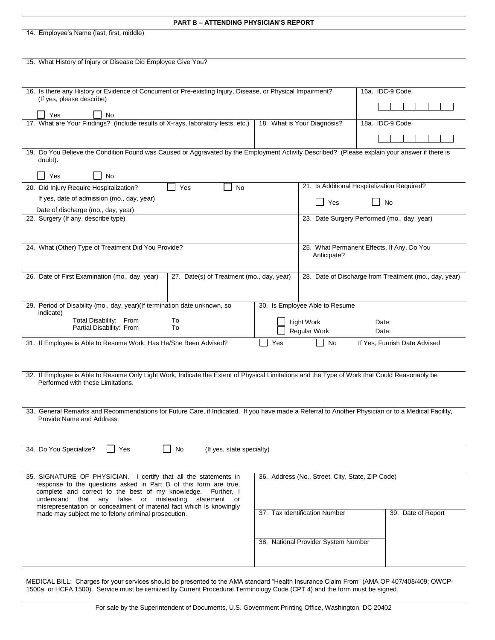| <b>PART B - ATTENDING PHYSICIAN'S REPORT</b>                                                                                                             |                                                                                                                |                                                       |                                             |  |
|----------------------------------------------------------------------------------------------------------------------------------------------------------|----------------------------------------------------------------------------------------------------------------|-------------------------------------------------------|---------------------------------------------|--|
| 14. Employee's Name (last, first, middle)                                                                                                                |                                                                                                                |                                                       |                                             |  |
|                                                                                                                                                          |                                                                                                                |                                                       |                                             |  |
| 15. What History of Injury or Disease Did Employee Give You?                                                                                             |                                                                                                                |                                                       |                                             |  |
|                                                                                                                                                          |                                                                                                                |                                                       |                                             |  |
|                                                                                                                                                          |                                                                                                                |                                                       |                                             |  |
| 16. Is there any History or Evidence of Concurrent or Pre-existing Injury, Disease, or Physical Impairment?                                              |                                                                                                                |                                                       | 16a. IDC-9 Code                             |  |
| (If yes, please describe)                                                                                                                                |                                                                                                                |                                                       |                                             |  |
| Yes<br>No                                                                                                                                                |                                                                                                                |                                                       |                                             |  |
|                                                                                                                                                          | 17. What are Your Findings? (Include results of X-rays, laboratory tests, etc.)<br>18. What is Your Diagnosis? |                                                       | 18a. IDC-9 Code                             |  |
|                                                                                                                                                          |                                                                                                                |                                                       |                                             |  |
| 19. Do You Believe the Condition Found was Caused or Aggravated by the Employment Activity Described? (Please explain your answer if there is<br>doubt). |                                                                                                                |                                                       |                                             |  |
| Yes<br>No                                                                                                                                                |                                                                                                                |                                                       |                                             |  |
| 20. Did Injury Require Hospitalization?<br>Yes<br>No                                                                                                     |                                                                                                                |                                                       | 21. Is Additional Hospitalization Required? |  |
| If yes, date of admission (mo., day, year)                                                                                                               |                                                                                                                |                                                       |                                             |  |
| Date of discharge (mo., day, year)                                                                                                                       |                                                                                                                | Yes                                                   | No                                          |  |
| 22. Surgery (If any, describe type)                                                                                                                      |                                                                                                                |                                                       | 23. Date Surgery Performed (mo., day, year) |  |
|                                                                                                                                                          |                                                                                                                |                                                       |                                             |  |
| 24. What (Other) Type of Treatment Did You Provide?                                                                                                      |                                                                                                                |                                                       | 25. What Permanent Effects, If Any, Do You  |  |
|                                                                                                                                                          |                                                                                                                | Anticipate?                                           |                                             |  |
|                                                                                                                                                          |                                                                                                                |                                                       |                                             |  |
| 26. Date of First Examination (mo., day, year)<br>27. Date(s) of Treatment (mo., day, year)                                                              |                                                                                                                | 28. Date of Discharge from Treatment (mo., day, year) |                                             |  |
|                                                                                                                                                          |                                                                                                                |                                                       |                                             |  |
| 29. Period of Disability (mo., day, year)(If termination date unknown, so                                                                                |                                                                                                                | 30. Is Employee Able to Resume                        |                                             |  |
| indicate)                                                                                                                                                |                                                                                                                |                                                       |                                             |  |
| Total Disability: From<br>To<br>Partial Disability: From<br>To                                                                                           |                                                                                                                | <b>Light Work</b><br>Regular Work                     | Date:<br>Date:                              |  |
|                                                                                                                                                          |                                                                                                                |                                                       |                                             |  |
| 31. If Employee is Able to Resume Work, Has He/She Been Advised?<br>Yes<br>If Yes, Furnish Date Advised<br>No                                            |                                                                                                                |                                                       |                                             |  |
|                                                                                                                                                          |                                                                                                                |                                                       |                                             |  |
| 32. If Employee is Able to Resume Only Light Work, Indicate the Extent of Physical Limitations and the Type of Work that Could Reasonably be             |                                                                                                                |                                                       |                                             |  |
| Performed with these Limitations.                                                                                                                        |                                                                                                                |                                                       |                                             |  |
|                                                                                                                                                          |                                                                                                                |                                                       |                                             |  |
| 33. General Remarks and Recommendations for Future Care, if Indicated. If you have made a Referral to Another Physician or to a Medical Facility,        |                                                                                                                |                                                       |                                             |  |
| Provide Name and Address.                                                                                                                                |                                                                                                                |                                                       |                                             |  |
|                                                                                                                                                          |                                                                                                                |                                                       |                                             |  |
|                                                                                                                                                          |                                                                                                                |                                                       |                                             |  |
| 34. Do You Specialize?<br>Yes<br>No<br>(If yes, state specialty)                                                                                         |                                                                                                                |                                                       |                                             |  |
|                                                                                                                                                          |                                                                                                                |                                                       |                                             |  |
| 35. SIGNATURE OF PHYSICIAN. I certify that all the statements in                                                                                         |                                                                                                                | 36. Address (No., Street, City, State, ZIP Code)      |                                             |  |
| response to the questions asked in Part B of this form are true,<br>complete and correct to the best of my knowledge. Further, I                         |                                                                                                                |                                                       |                                             |  |
| false or misleading<br>understand that any<br>statement or<br>misrepresentation or concealment of material fact which is knowingly                       |                                                                                                                |                                                       |                                             |  |
| made may subject me to felony criminal prosecution.                                                                                                      |                                                                                                                | 37. Tax Identification Number                         | 39. Date of Report                          |  |
|                                                                                                                                                          |                                                                                                                |                                                       |                                             |  |
|                                                                                                                                                          |                                                                                                                | 38. National Provider System Number                   |                                             |  |
|                                                                                                                                                          |                                                                                                                |                                                       |                                             |  |
|                                                                                                                                                          |                                                                                                                |                                                       |                                             |  |
|                                                                                                                                                          |                                                                                                                |                                                       |                                             |  |

MEDICAL BILL: Charges for your services should be presented to the AMA standard "Health Insurance Claim From" (AMA OP 407/408/409; OWCP-1500a, or HCFA 1500). Service must be itemized by Current Procedural Terminology Code (CPT 4) and the form must be signed.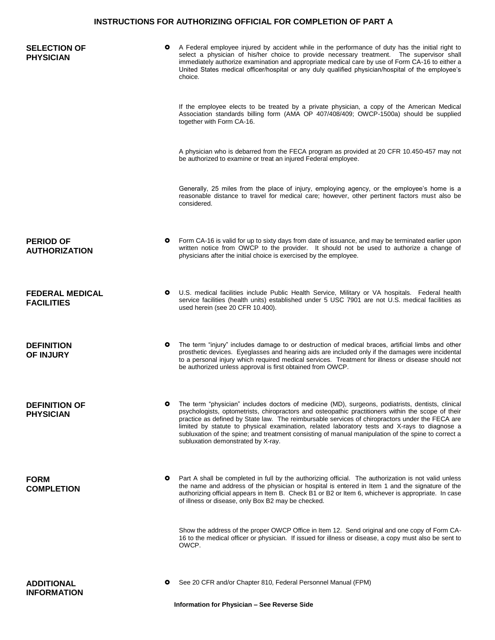## **INSTRUCTIONS FOR AUTHORIZING OFFICIAL FOR COMPLETION OF PART A**

| <b>SELECTION OF</b><br><b>PHYSICIAN</b>     |           | A Federal employee injured by accident while in the performance of duty has the initial right to<br>select a physician of his/her choice to provide necessary treatment. The supervisor shall<br>immediately authorize examination and appropriate medical care by use of Form CA-16 to either a<br>United States medical officer/hospital or any duly qualified physician/hospital of the employee's<br>choice.                                                                                                                                         |
|---------------------------------------------|-----------|----------------------------------------------------------------------------------------------------------------------------------------------------------------------------------------------------------------------------------------------------------------------------------------------------------------------------------------------------------------------------------------------------------------------------------------------------------------------------------------------------------------------------------------------------------|
|                                             |           | If the employee elects to be treated by a private physician, a copy of the American Medical<br>Association standards billing form (AMA OP 407/408/409; OWCP-1500a) should be supplied<br>together with Form CA-16.                                                                                                                                                                                                                                                                                                                                       |
|                                             |           | A physician who is debarred from the FECA program as provided at 20 CFR 10.450-457 may not<br>be authorized to examine or treat an injured Federal employee.                                                                                                                                                                                                                                                                                                                                                                                             |
|                                             |           | Generally, 25 miles from the place of injury, employing agency, or the employee's home is a<br>reasonable distance to travel for medical care; however, other pertinent factors must also be<br>considered.                                                                                                                                                                                                                                                                                                                                              |
| <b>PERIOD OF</b><br><b>AUTHORIZATION</b>    | o         | Form CA-16 is valid for up to sixty days from date of issuance, and may be terminated earlier upon<br>written notice from OWCP to the provider. It should not be used to authorize a change of<br>physicians after the initial choice is exercised by the employee.                                                                                                                                                                                                                                                                                      |
| <b>FEDERAL MEDICAL</b><br><b>FACILITIES</b> | o         | U.S. medical facilities include Public Health Service, Military or VA hospitals. Federal health<br>service facilities (health units) established under 5 USC 7901 are not U.S. medical facilities as<br>used herein (see 20 CFR 10.400).                                                                                                                                                                                                                                                                                                                 |
| <b>DEFINITION</b><br><b>OF INJURY</b>       | o         | The term "injury" includes damage to or destruction of medical braces, artificial limbs and other<br>prosthetic devices. Eyeglasses and hearing aids are included only if the damages were incidental<br>to a personal injury which required medical services. Treatment for illness or disease should not<br>be authorized unless approval is first obtained from OWCP.                                                                                                                                                                                 |
| <b>DEFINITION OF</b><br><b>PHYSICIAN</b>    | o         | The term "physician" includes doctors of medicine (MD), surgeons, podiatrists, dentists, clinical<br>psychologists, optometrists, chiropractors and osteopathic practitioners within the scope of their<br>practice as defined by State law. The reimbursable services of chiropractors under the FECA are<br>limited by statute to physical examination, related laboratory tests and X-rays to diagnose a<br>subluxation of the spine; and treatment consisting of manual manipulation of the spine to correct a<br>subluxation demonstrated by X-ray. |
| <b>FORM</b><br><b>COMPLETION</b>            | $\bullet$ | Part A shall be completed in full by the authorizing official. The authorization is not valid unless<br>the name and address of the physician or hospital is entered in Item 1 and the signature of the<br>authorizing official appears in Item B. Check B1 or B2 or Item 6, whichever is appropriate. In case<br>of illness or disease, only Box B2 may be checked.                                                                                                                                                                                     |
|                                             |           | Show the address of the proper OWCP Office in Item 12. Send original and one copy of Form CA-<br>16 to the medical officer or physician. If issued for illness or disease, a copy must also be sent to<br>OWCP.                                                                                                                                                                                                                                                                                                                                          |
| <b>ADDITIONAL</b><br><b>INFORMATION</b>     | $\bullet$ | See 20 CFR and/or Chapter 810, Federal Personnel Manual (FPM)<br>Information for Physician - See Reverse Side                                                                                                                                                                                                                                                                                                                                                                                                                                            |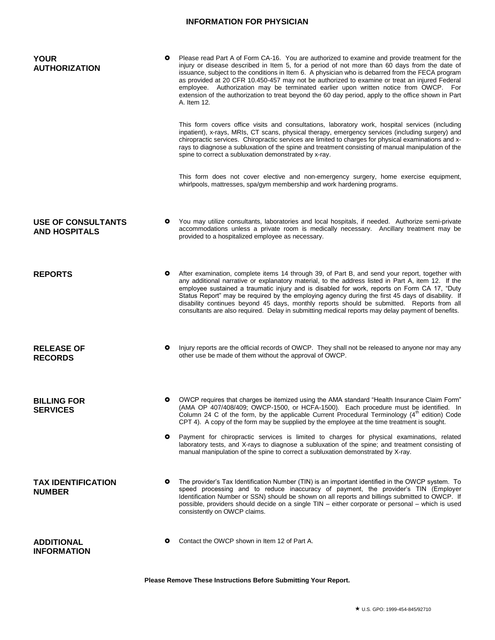## **INFORMATION FOR PHYSICIAN**

| <b>YOUR</b><br><b>AUTHORIZATION</b>                             | o         | Please read Part A of Form CA-16. You are authorized to examine and provide treatment for the<br>injury or disease described in Item 5, for a period of not more than 60 days from the date of<br>issuance, subject to the conditions in Item 6. A physician who is debarred from the FECA program<br>as provided at 20 CFR 10.450-457 may not be authorized to examine or treat an injured Federal<br>employee. Authorization may be terminated earlier upon written notice from OWCP. For<br>extension of the authorization to treat beyond the 60 day period, apply to the office shown in Part<br>A. Item 12. |
|-----------------------------------------------------------------|-----------|-------------------------------------------------------------------------------------------------------------------------------------------------------------------------------------------------------------------------------------------------------------------------------------------------------------------------------------------------------------------------------------------------------------------------------------------------------------------------------------------------------------------------------------------------------------------------------------------------------------------|
|                                                                 |           | This form covers office visits and consultations, laboratory work, hospital services (including<br>inpatient), x-rays, MRIs, CT scans, physical therapy, emergency services (including surgery) and<br>chiropractic services. Chiropractic services are limited to charges for physical examinations and x-<br>rays to diagnose a subluxation of the spine and treatment consisting of manual manipulation of the<br>spine to correct a subluxation demonstrated by x-ray.                                                                                                                                        |
|                                                                 |           | This form does not cover elective and non-emergency surgery, home exercise equipment,<br>whirlpools, mattresses, spa/gym membership and work hardening programs.                                                                                                                                                                                                                                                                                                                                                                                                                                                  |
| <b>USE OF CONSULTANTS</b><br><b>AND HOSPITALS</b>               | ۰         | You may utilize consultants, laboratories and local hospitals, if needed. Authorize semi-private<br>accommodations unless a private room is medically necessary. Ancillary treatment may be<br>provided to a hospitalized employee as necessary.                                                                                                                                                                                                                                                                                                                                                                  |
| <b>REPORTS</b>                                                  | o         | After examination, complete items 14 through 39, of Part B, and send your report, together with<br>any additional narrative or explanatory material, to the address listed in Part A, item 12. If the<br>employee sustained a traumatic injury and is disabled for work, reports on Form CA 17, "Duty<br>Status Report" may be required by the employing agency during the first 45 days of disability. If<br>disability continues beyond 45 days, monthly reports should be submitted. Reports from all<br>consultants are also required. Delay in submitting medical reports may delay payment of benefits.     |
| <b>RELEASE OF</b><br><b>RECORDS</b>                             | o         | Injury reports are the official records of OWCP. They shall not be released to anyone nor may any<br>other use be made of them without the approval of OWCP.                                                                                                                                                                                                                                                                                                                                                                                                                                                      |
| <b>BILLING FOR</b><br><b>SERVICES</b>                           | $\bullet$ | OWCP requires that charges be itemized using the AMA standard "Health Insurance Claim Form"<br>(AMA OP 407/408/409; OWCP-1500, or HCFA-1500). Each procedure must be identified. In<br>Column 24 C of the form, by the applicable Current Procedural Terminology $(4th$ edition) Code<br>CPT 4). A copy of the form may be supplied by the employee at the time treatment is sought.                                                                                                                                                                                                                              |
|                                                                 | $\bullet$ | Payment for chiropractic services is limited to charges for physical examinations, related<br>laboratory tests, and X-rays to diagnose a subluxation of the spine; and treatment consisting of<br>manual manipulation of the spine to correct a subluxation demonstrated by X-ray.                                                                                                                                                                                                                                                                                                                                |
| <b>TAX IDENTIFICATION</b><br><b>NUMBER</b>                      | o         | The provider's Tax Identification Number (TIN) is an important identified in the OWCP system. To<br>speed processing and to reduce inaccuracy of payment, the provider's TIN (Employer<br>Identification Number or SSN) should be shown on all reports and billings submitted to OWCP. If<br>possible, providers should decide on a single TIN – either corporate or personal – which is used<br>consistently on OWCP claims.                                                                                                                                                                                     |
| <b>ADDITIONAL</b><br><b>INFORMATION</b>                         | o         | Contact the OWCP shown in Item 12 of Part A.                                                                                                                                                                                                                                                                                                                                                                                                                                                                                                                                                                      |
| Please Remove These Instructions Before Submitting Your Report. |           |                                                                                                                                                                                                                                                                                                                                                                                                                                                                                                                                                                                                                   |